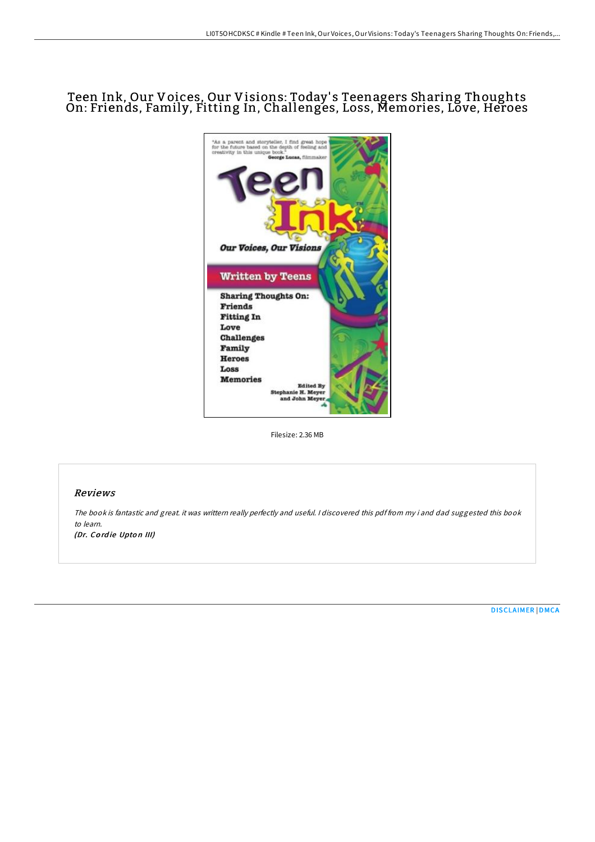# Teen Ink, Our Voices, Our Visions: Today' s Teenagers Sharing Thoughts On: Friends, Family, Fitting In, Challenges, Loss, Memories, Love, Heroes



Filesize: 2.36 MB

### Reviews

The book is fantastic and great. it was writtern really perfectly and useful. <sup>I</sup> discovered this pdf from my i and dad suggested this book to learn.

(Dr. Cordie Upton III)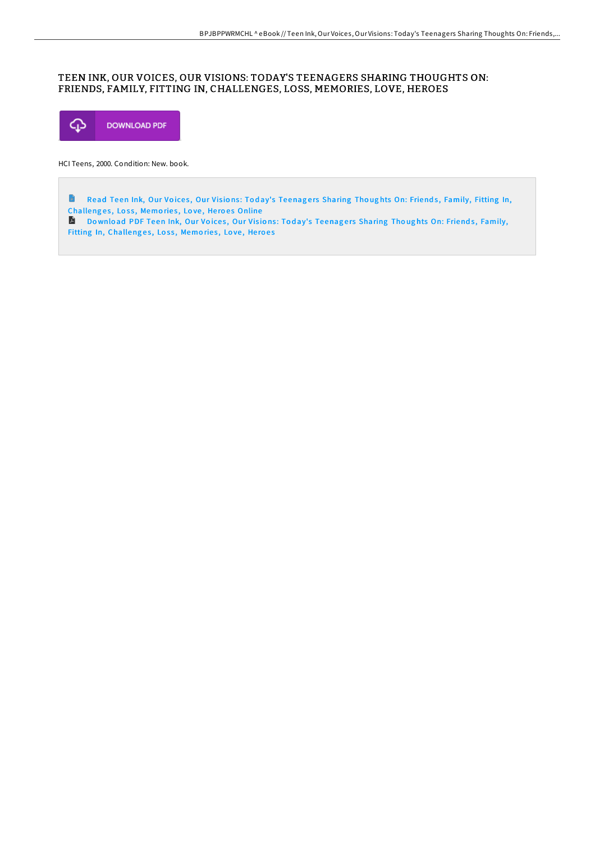## TEEN INK, OUR VOICES, OUR VISIONS: TODAY'S TEENAGERS SHARING THOUGHTS ON: FRIENDS, FAMILY, FITTING IN, CHALLENGES, LOSS, MEMORIES, LOVE, HEROES



HCI Teens, 2000. Condition: New. book.

 $\blacksquare$ Read Teen Ink, Our Voices, Our Visions: Today's Teenagers Sharing Thoughts On: Friends, Family, Fitting In, [Challeng](http://almighty24.tech/teen-ink-our-voices-our-visions-today-x27-s-teen.html)es, Loss, Memories, Love, Heroes Online Download PDF Teen Ink, Our Voices, Our Visions: Today's Teenagers Sharing Thoughts On: Friends, Family,

Fitting In, [Challeng](http://almighty24.tech/teen-ink-our-voices-our-visions-today-x27-s-teen.html)es, Loss, Memories, Love, Heroes